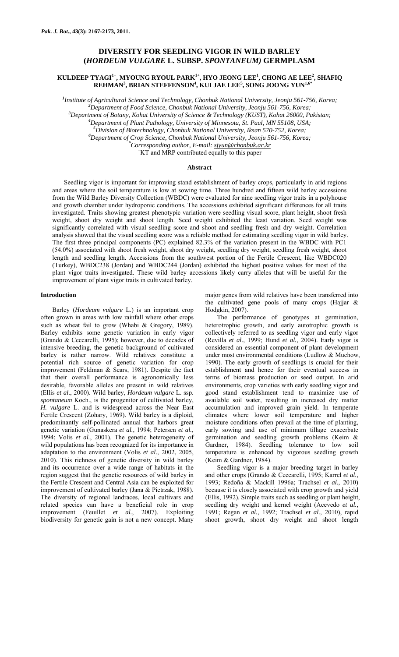# **DIVERSITY FOR SEEDLING VIGOR IN WILD BARLEY (***HORDEUM VULGARE* **L. SUBSP.** *SPONTANEUM)* **GERMPLASM**

# $\mathbf K$ ULDEEP TYAGI<sup>1+</sup>, MYOUNG RYOUL PARK<sup>1+</sup>, HYO JEONG LEE<sup>1</sup>, CHONG AE LEE<sup>2</sup>, SHAFIQ **REHMAN<sup>3</sup> , BRIAN STEFFENSON<sup>4</sup> , KUI JAE LEE5 , SONG JOONG YUN1,6\***

*1 Institute of Agricultural Science and Technology, Chonbuk National University, Jeonju 561-756, Korea; <sup>2</sup>* <sup>2</sup> Department of Food Science, Chonbuk National University, Jeonju 561-756, Korea;

*Department of Botany, Kohat University of Science & Technology (KUST), Kohat 26000, Pakistan; <sup>4</sup>*

*Department of Plant Pathology, University of Minnesota, St. Paul, MN 55108, USA;* 

*5 Division of Biotechnology, Chonbuk National University, Iksan 570-752, Korea; <sup>6</sup>*

*Department of Crop Science, Chonbuk National University, Jeonju 561-756, Korea; \**

*Corresponding author, E-mail: sjyun@chonbuk.ac.kr <sup>+</sup>*

KT and MRP contributed equally to this paper

## **Abstract**

Seedling vigor is important for improving stand establishment of barley crops, particularly in arid regions and areas where the soil temperature is low at sowing time. Three hundred and fifteen wild barley accessions from the Wild Barley Diversity Collection (WBDC) were evaluated for nine seedling vigor traits in a polyhouse and growth chamber under hydroponic conditions. The accessions exhibited significant differences for all traits investigated. Traits showing greatest phenotypic variation were seedling visual score, plant height, shoot fresh weight, shoot dry weight and shoot length. Seed weight exhibited the least variation. Seed weight was significantly correlated with visual seedling score and shoot and seedling fresh and dry weight. Correlation analysis showed that the visual seedling score was a reliable method for estimating seedling vigor in wild barley. The first three principal components (PC) explained 82.3% of the variation present in the WBDC with PC1 (54.0%) associated with shoot fresh weight, shoot dry weight, seedling dry weight, seedling fresh weight, shoot length and seedling length. Accessions from the southwest portion of the Fertile Crescent, like WBDC020 (Turkey), WBDC238 (Jordan) and WBDC244 (Jordan) exhibited the highest positive values for most of the plant vigor traits investigated. These wild barley accessions likely carry alleles that will be useful for the improvement of plant vigor traits in cultivated barley.

### **Introduction**

Barley (*Hordeum vulgare* L.) is an important crop often grown in areas with low rainfall where other crops such as wheat fail to grow (Whabi & Gregory, 1989). Barley exhibits some genetic variation in early vigor (Grando & Ceccarelli, 1995); however, due to decades of intensive breeding, the genetic background of cultivated barley is rather narrow. Wild relatives constitute a potential rich source of genetic variation for crop improvement (Feldman & Sears, 1981). Despite the fact that their overall performance is agronomically less desirable, favorable alleles are present in wild relatives (Ellis *et al*., 2000). Wild barley, *Hordeum vulgare* L. ssp. *spontaneum* Koch., is the progenitor of cultivated barley, *H. vulgare* L. and is widespread across the Near East Fertile Crescent (Zohary, 1969). Wild barley is a diploid, predominantly self-pollinated annual that harbors great genetic variation (Gunaskera *et al.*, 1994; Petersen *et al.*, 1994; Volis *et al.*, 2001). The genetic heterogeneity of wild populations has been recognized for its importance in adaptation to the environment (Volis *et al.*, 2002, 2005, 2010). This richness of genetic diversity in wild barley and its occurrence over a wide range of habitats in the region suggest that the genetic resources of wild barley in the Fertile Crescent and Central Asia can be exploited for improvement of cultivated barley (Jana & Pietrzak, 1988). The diversity of regional landraces, local cultivars and related species can have a beneficial role in crop improvement (Feuillet *et al.*, 2007). Exploiting biodiversity for genetic gain is not a new concept. Many

major genes from wild relatives have been transferred into the cultivated gene pools of many crops (Hajjar & Hodgkin, 2007).

The performance of genotypes at germination, heterotrophic growth, and early autotrophic growth is collectively referred to as seedling vigor and early vigor (Revilla *et al.*, 1999; Hund *et al.*, 2004). Early vigor is considered an essential component of plant development under most environmental conditions (Ludlow & Muchow, 1990). The early growth of seedlings is crucial for their establishment and hence for their eventual success in terms of biomass production or seed output. In arid environments, crop varieties with early seedling vigor and good stand establishment tend to maximize use of available soil water, resulting in increased dry matter accumulation and improved grain yield. In temperate climates where lower soil temperature and higher moisture conditions often prevail at the time of planting, early sowing and use of minimum tillage exacerbate germination and seedling growth problems (Keim & Gardner, 1984). Seedling tolerance to low soil temperature is enhanced by vigorous seedling growth (Keim & Gardner, 1984).

Seedling vigor is a major breeding target in barley and other crops (Grando & Ceccarelli, 1995; Karrel *et al.*, 1993; Redoña & Mackill 1996a; Trachsel *et al*., 2010) because it is closely associated with crop growth and yield (Ellis, 1992). Simple traits such as seedling or plant height, seedling dry weight and kernel weight (Acevedo *et al.*, 1991; Regan *et al.*, 1992; Trachsel *et al*., 2010), rapid shoot growth, shoot dry weight and shoot length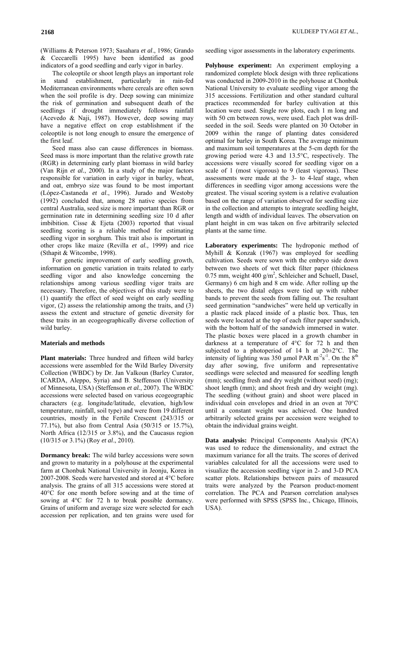(Williams & Peterson 1973; Sasahara *et al*., 1986; Grando & Ceccarelli 1995) have been identified as good indicators of a good seedling and early vigor in barley.

The coleoptile or shoot length plays an important role stand establishment, particularly in rain-fed Mediterranean environments where cereals are often sown when the soil profile is dry. Deep sowing can minimize the risk of germination and subsequent death of the seedlings if drought immediately follows rainfall (Acevedo & Naji, 1987). However, deep sowing may have a negative effect on crop establishment if the coleoptile is not long enough to ensure the emergence of the first leaf.

Seed mass also can cause differences in biomass. Seed mass is more important than the relative growth rate (RGR) in determining early plant biomass in wild barley (Van Rijn *et al.*, 2000). In a study of the major factors responsible for variation in early vigor in barley, wheat, and oat, embryo size was found to be most important (López-Castaneda *et al*., 1996). Jurado and Westoby (1992) concluded that, among 28 native species from central Australia, seed size is more important than RGR or germination rate in determining seedling size 10 d after imbibition. Cisse & Ejeta (2003) reported that visual seedling scoring is a reliable method for estimating seedling vigor in sorghum. This trait also is important in other crops like maize (Revilla *et al.*, 1999) and rice (Sthapit & Witcombe, 1998).

For genetic improvement of early seedling growth, information on genetic variation in traits related to early seedling vigor and also knowledge concerning the relationships among various seedling vigor traits are necessary. Therefore, the objectives of this study were to (1) quantify the effect of seed weight on early seedling vigor, (2) assess the relationship among the traits, and (3) assess the extent and structure of genetic diversity for these traits in an ecogeographically diverse collection of wild barley.

### **Materials and methods**

**Plant materials:** Three hundred and fifteen wild barley accessions were assembled for the Wild Barley Diversity Collection (WBDC) by Dr. Jan Valkoun (Barley Curator, ICARDA, Aleppo, Syria) and B. Steffenson (University of Minnesota, USA) (Steffenson *et al.*, 2007). The WBDC accessions were selected based on various ecogeographic characters (e.g. longitude/latitude, elevation, high/low temperature, rainfall, soil type) and were from 19 different countries, mostly in the Fertile Crescent (243/315 or 77.1%), but also from Central Asia (50/315 or 15.7%), North Africa (12/315 or 3.8%), and the Caucasus region (10/315 or 3.1%) (Roy *et al*., 2010).

**Dormancy break:** The wild barley accessions were sown and grown to maturity in a polyhouse at the experimental farm at Chonbuk National University in Jeonju, Korea in 2007-2008. Seeds were harvested and stored at 4°C before analysis. The grains of all 315 accessions were stored at 40°C for one month before sowing and at the time of sowing at 4°C for 72 h to break possible dormancy. Grains of uniform and average size were selected for each accession per replication, and ten grains were used for

seedling vigor assessments in the laboratory experiments.

**Polyhouse experiment:** An experiment employing a randomized complete block design with three replications was conducted in 2009-2010 in the polyhouse at Chonbuk National University to evaluate seedling vigor among the 315 accessions. Fertilization and other standard cultural practices recommended for barley cultivation at this location were used. Single row plots, each 1 m long and with 50 cm between rows, were used. Each plot was drillseeded in the soil. Seeds were planted on 30 October in 2009 within the range of planting dates considered optimal for barley in South Korea. The average minimum and maximum soil temperatures at the 5-cm depth for the growing period were 4.3 and 13.5°C, respectively. The accessions were visually scored for seedling vigor on a scale of 1 (most vigorous) to 9 (least vigorous). These assessments were made at the 3- to 4-leaf stage, when differences in seedling vigor among accessions were the greatest. The visual scoring system is a relative evaluation based on the range of variation observed for seedling size in the collection and attempts to integrate seedling height, length and width of individual leaves. The observation on plant height in cm was taken on five arbitrarily selected plants at the same time.

**Laboratory experiments:** The hydroponic method of Myhill & Konzak (1967) was employed for seedling cultivation. Seeds were sown with the embryo side down between two sheets of wet thick filter paper (thickness 0.75 mm, weight 400  $g/m^2$ , Schleicher and Schuell, Dasel, Germany) 6 cm high and 8 cm wide. After rolling up the sheets, the two distal edges were tied up with rubber bands to prevent the seeds from falling out. The resultant seed germination "sandwiches" were held up vertically in a plastic rack placed inside of a plastic box. Thus, ten seeds were located at the top of each filter paper sandwich, with the bottom half of the sandwich immersed in water. The plastic boxes were placed in a growth chamber in darkness at a temperature of 4°C for 72 h and then subjected to a photoperiod of 14 h at 20±2°C. The intensity of lighting was 350 µmol PAR  $m<sup>2</sup>s<sup>-1</sup>$ . On the  $8<sup>th</sup>$ day after sowing, five uniform and representative seedlings were selected and measured for seedling length (mm); seedling fresh and dry weight (without seed) (mg); shoot length (mm); and shoot fresh and dry weight (mg). The seedling (without grain) and shoot were placed in individual coin envelopes and dried in an oven at 70°C until a constant weight was achieved. One hundred arbitrarily selected grains per accession were weighed to obtain the individual grains weight.

**Data analysis:** Principal Components Analysis (PCA) was used to reduce the dimensionality, and extract the maximum variance for all the traits. The scores of derived variables calculated for all the accessions were used to visualize the accession seedling vigor in 2- and 3-D PCA scatter plots. Relationships between pairs of measured traits were analyzed by the Pearson product-moment correlation. The PCA and Pearson correlation analyses were performed with SPSS (SPSS Inc., Chicago, Illinois, USA).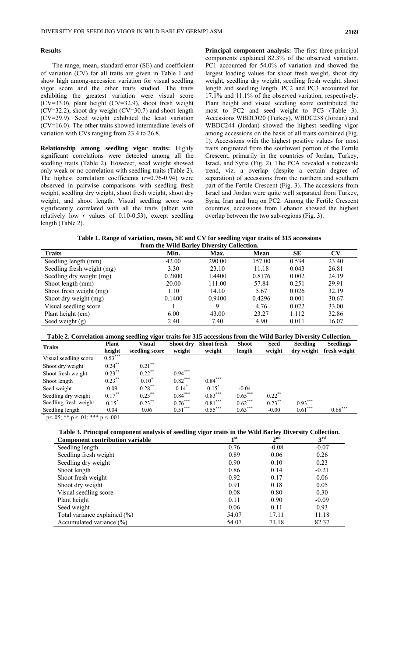## **Results**

The range, mean, standard error (SE) and coefficient of variation (CV) for all traits are given in Table 1 and show high among-accession variation for visual seedling vigor score and the other traits studied. The traits exhibiting the greatest variation were visual score (CV=33.0), plant height (CV=32.9), shoot fresh weight (CV=32.2), shoot dry weight (CV=30.7) and shoot length (CV=29.9). Seed weight exhibited the least variation (CV=16.0). The other traits showed intermediate levels of variation with CVs ranging from 23.4 to 26.8.

**Relationship among seedling vigor traits:** Highly significant correlations were detected among all the seedling traits (Table 2). However, seed weight showed only weak or no correlation with seedling traits (Table 2). The highest correlation coefficients (*r*=0.76-0.94) were observed in pairwise comparisons with seedling fresh weight, seedling dry weight, shoot fresh weight, shoot dry weight, and shoot length. Visual seedling score was significantly correlated with all the traits (albeit with relatively low *r* values of 0.10-0.53), except seedling length (Table 2).

**Principal component analysis:** The first three principal components explained 82.3% of the observed variation. PC1 accounted for 54.0% of variation and showed the largest loading values for shoot fresh weight, shoot dry weight, seedling dry weight, seedling fresh weight, shoot length and seedling length. PC2 and PC3 accounted for 17.1% and 11.1% of the observed variation, respectively. Plant height and visual seedling score contributed the most to PC2 and seed weight to PC3 (Table 3). Accessions WBDC020 (Turkey), WBDC238 (Jordan) and WBDC244 (Jordan) showed the highest seedling vigor among accessions on the basis of all traits combined (Fig. 1). Accessions with the highest positive values for most traits originated from the southwest portion of the Fertile Crescent, primarily in the countries of Jordan, Turkey, Israel, and Syria (Fig. 2). The PCA revealed a noticeable trend, viz. a overlap (despite a certain degree of separation) of accessions from the northern and southern part of the Fertile Crescent (Fig. 3). The accessions from Israel and Jordan were quite well separated from Turkey, Syria, Iran and Iraq on PC2. Among the Fertile Crescent countries, accessions from Lebanon showed the highest overlap between the two sub-regions (Fig. 3).

**Table 1. Range of variation, mean, SE and CV for seedling vigor traits of 315 accessions from the Wild Barley Diversity Collection.** 

| Hom the What Barrel Driversey Concentius |        |        |             |           |                        |  |  |
|------------------------------------------|--------|--------|-------------|-----------|------------------------|--|--|
| <b>Traits</b>                            | Min.   | Max.   | <b>Mean</b> | <b>SE</b> | $\mathbf{C}\mathbf{V}$ |  |  |
| Seedling length (mm)                     | 42.00  | 290.00 | 157.00      | 0.534     | 23.40                  |  |  |
| Seedling fresh weight (mg)               | 3.30   | 23.10  | 11.18       | 0.043     | 26.81                  |  |  |
| Seedling dry weight (mg)                 | 0.2800 | 1.4400 | 0.8176      | 0.002     | 24.19                  |  |  |
| Shoot length (mm)                        | 20.00  | 111.00 | 57.84       | 0.251     | 29.91                  |  |  |
| Shoot fresh weight (mg)                  | 1.10   | 14.10  | 5.67        | 0.026     | 32.19                  |  |  |
| Shoot dry weight (mg)                    | 0.1400 | 0.9400 | 0.4296      | 0.001     | 30.67                  |  |  |
| Visual seedling score                    |        | Q      | 4.76        | 0.022     | 33.00                  |  |  |
| Plant height (cm)                        | 6.00   | 43.00  | 23.27       | 1.112     | 32.86                  |  |  |
| Seed weight $(g)$                        | 2.40   | 7.40   | 4.90        | 0.011     | 16.07                  |  |  |
|                                          |        |        |             |           |                        |  |  |

| Table 2. Correlation among seedling vigor traits for 315 accessions from the Wild Barley Diversity Collection. |  |  |  |
|----------------------------------------------------------------------------------------------------------------|--|--|--|

| <b>Traits</b>                          | <b>Plant</b><br>height | <b>Visual</b><br>seedling score | Shoot dry<br>weight | <b>Shoot fresh</b><br>weight | <b>Shoot</b><br>length | <b>Seed</b><br>weight | <b>Seedling</b><br>dry weight | <b>Seedlings</b><br>fresh weight |
|----------------------------------------|------------------------|---------------------------------|---------------------|------------------------------|------------------------|-----------------------|-------------------------------|----------------------------------|
| Visual seedling score                  | $0.53***$              |                                 |                     |                              |                        |                       |                               |                                  |
| Shoot dry weight                       | $0.24***$              | $0.21***$                       |                     |                              |                        |                       |                               |                                  |
| Shoot fresh weight                     | $0.23***$              | $0.22$ **                       | $0.94***$           |                              |                        |                       |                               |                                  |
| Shoot length                           | $0.23***$              | $0.10^{*}$                      | $0.82***$           | $0.84***$                    |                        |                       |                               |                                  |
| Seed weight                            | 0.09                   | $0.28***$                       | $0.14^{\degree}$    | $0.15^*$                     | $-0.04$                |                       |                               |                                  |
| Seedling dry weight                    | $0.17***$              | $0.23***$                       | $0.84***$           | $0.83***$                    | $0.65***$              | $0.22$ **             |                               |                                  |
| Seedling fresh weight                  | $0.15^*$               | $0.23***$                       | $0.76***$           | $0.81***$                    | $0.62***$              | $0.23***$             | $0.93***$                     |                                  |
| Seedling length<br>$*$ $  \cdots$<br>. | 0.04<br>.              | 0.06                            | $0.51***$           | $0.55***$                    | $0.63***$              | $-0.00$               | $0.61***$                     | $0.68***$                        |

 $p < 05$ ; \*\* p  $< 01$ ; \*\*\* p  $< 001$ 

# **Table 3. Principal component analysis of seedling vigor traits in the Wild Barley Diversity Collection.**

| <b>Component contribution variable</b> | 1 <sup>st</sup> | 2 <sup>nd</sup> | 3 <sup>rd</sup> |
|----------------------------------------|-----------------|-----------------|-----------------|
| Seedling length                        | 0.76            | $-0.08$         | $-0.07$         |
| Seedling fresh weight                  | 0.89            | 0.06            | 0.26            |
| Seedling dry weight                    | 0.90            | 0.10            | 0.23            |
| Shoot length                           | 0.86            | 0.14            | $-0.21$         |
| Shoot fresh weight                     | 0.92            | 0.17            | 0.06            |
| Shoot dry weight                       | 0.91            | 0.18            | 0.05            |
| Visual seedling score                  | 0.08            | 0.80            | 0.30            |
| Plant height                           | 0.11            | 0.90            | $-0.09$         |
| Seed weight                            | 0.06            | 0.11            | 0.93            |
| Total variance explained $(\% )$       | 54.07           | 17.11           | 11.18           |
| Accumulated variance $(\% )$           | 54.07           | 71.18           | 82.37           |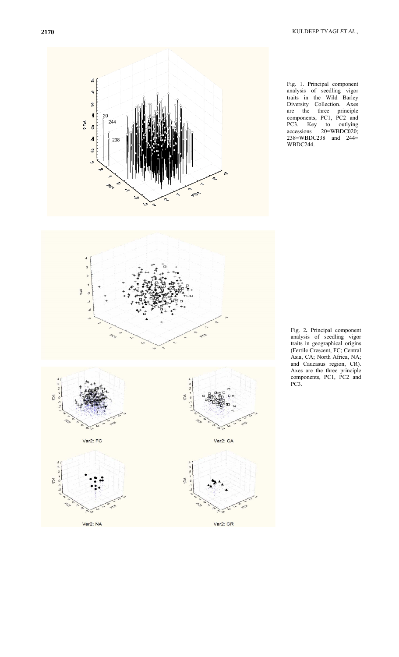20

 $\boldsymbol{d}$  $\overline{\mathbf{3}}$  $\it 2$  $\mathbf{I}$ 













Var2: CR

Fig. 2*.* Principal component analysis of seedling vigor traits in geographical origins (Fertile Crescent, FC; Central Asia, CA; North Africa, NA; and Caucasus region, CR). Axes are the three principle components, PC1, PC2 and PC3.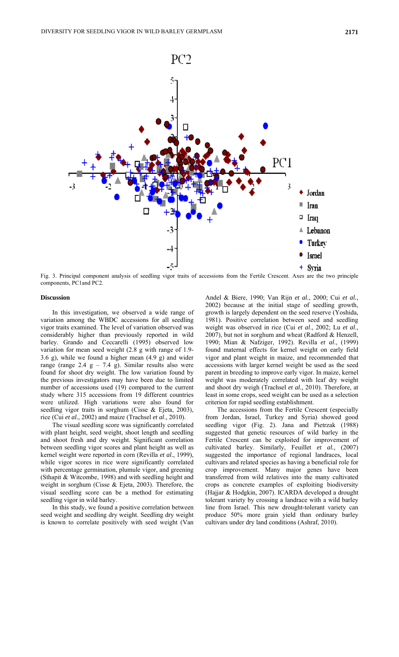

Fig. 3. Principal component analysis of seedling vigor traits of accessions from the Fertile Crescent. Axes are the two principle components, PC1and PC2.

### **Discussion**

In this investigation, we observed a wide range of variation among the WBDC accessions for all seedling vigor traits examined. The level of variation observed was considerably higher than previously reported in wild barley. Grando and Ceccarelli (1995) observed low variation for mean seed weight (2.8 g with range of 1.9- 3.6 g), while we found a higher mean (4.9 g) and wider range (range  $2.4$  g –  $7.4$  g). Similar results also were found for shoot dry weight. The low variation found by the previous investigators may have been due to limited number of accessions used (19) compared to the current study where 315 accessions from 19 different countries were utilized. High variations were also found for seedling vigor traits in sorghum (Cisse & Ejeta, 2003), rice (Cui *et al.*, 2002) and maize (Trachsel *et al*., 2010).

The visual seedling score was significantly correlated with plant height, seed weight, shoot length and seedling and shoot fresh and dry weight. Significant correlation between seedling vigor scores and plant height as well as kernel weight were reported in corn (Revilla *et al.*, 1999), while vigor scores in rice were significantly correlated with percentage germination, plumule vigor, and greening (Sthapit & Witcombe, 1998) and with seedling height and weight in sorghum (Cisse & Ejeta, 2003). Therefore, the visual seedling score can be a method for estimating seedling vigor in wild barley.

In this study, we found a positive correlation between seed weight and seedling dry weight. Seedling dry weight is known to correlate positively with seed weight (Van

Andel & Biere, 1990; Van Rijn *et al.*, 2000; Cui *et al.*, 2002) because at the initial stage of seedling growth, growth is largely dependent on the seed reserve (Yoshida, 1981). Positive correlation between seed and seedling weight was observed in rice (Cui *et al*., 2002; Lu *et al*., 2007), but not in sorghum and wheat (Radford & Henzell, 1990; Mian & Nafziger, 1992). Revilla *et al*., (1999) found maternal effects for kernel weight on early field vigor and plant weight in maize, and recommended that accessions with larger kernel weight be used as the seed parent in breeding to improve early vigor. In maize, kernel weight was moderately correlated with leaf dry weight and shoot dry weigh (Trachsel *et al.,* 2010). Therefore, at least in some crops, seed weight can be used as a selection criterion for rapid seedling establishment.

The accessions from the Fertile Crescent (especially from Jordan, Israel, Turkey and Syria) showed good seedling vigor (Fig. 2). Jana and Pietrzak (1988) suggested that genetic resources of wild barley in the Fertile Crescent can be exploited for improvement of cultivated barley. Similarly, Feuillet *et al.*, (2007) suggested the importance of regional landraces, local cultivars and related species as having a beneficial role for crop improvement. Many major genes have been transferred from wild relatives into the many cultivated crops as concrete examples of exploiting biodiversity (Hajjar & Hodgkin, 2007). ICARDA developed a drought tolerant variety by crossing a landrace with a wild barley line from Israel. This new drought-tolerant variety can produce 50% more grain yield than ordinary barley cultivars under dry land conditions (Ashraf, 2010).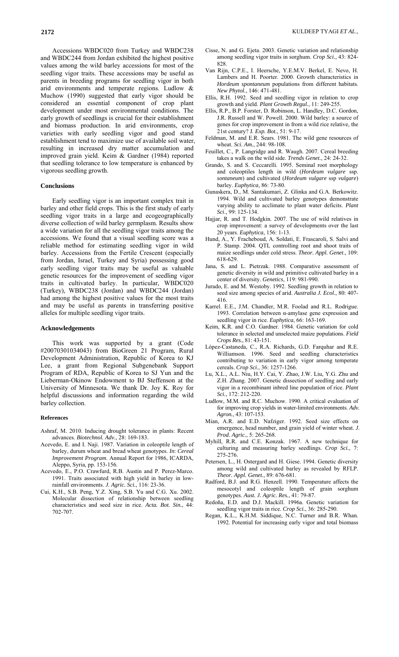Accessions WBDC020 from Turkey and WBDC238 and WBDC244 from Jordan exhibited the highest positive values among the wild barley accessions for most of the seedling vigor traits. These accessions may be useful as parents in breeding programs for seedling vigor in both arid environments and temperate regions. Ludlow & Muchow (1990) suggested that early vigor should be considered an essential component of crop plant development under most environmental conditions. The early growth of seedlings is crucial for their establishment and biomass production. In arid environments, crop varieties with early seedling vigor and good stand establishment tend to maximize use of available soil water, resulting in increased dry matter accumulation and improved grain yield. Keim & Gardner (1984) reported that seedling tolerance to low temperature is enhanced by vigorous seedling growth.

### **Conclusions**

Early seedling vigor is an important complex trait in barley and other field crops. This is the first study of early seedling vigor traits in a large and ecogeographically diverse collection of wild barley germplasm. Results show a wide variation for all the seedling vigor traits among the accessions. We found that a visual seedling score was a reliable method for estimating seedling vigor in wild barley. Accessions from the Fertile Crescent (especially from Jordan, Israel, Turkey and Syria) possessing good early seedling vigor traits may be useful as valuable genetic resources for the improvement of seedling vigor traits in cultivated barley. In particular, WBDC020 (Turkey), WBDC238 (Jordan) and WBDC244 (Jordan) had among the highest positive values for the most traits and may be useful as parents in transferring positive alleles for multiple seedling vigor traits.

### **Acknowledgements**

This work was supported by a grant (Code #20070301034043) from BioGreen 21 Program, Rural Development Administration, Republic of Korea to KJ Lee, a grant from Regional Subgenebank Support Program of RDA, Republic of Korea to SJ Yun and the Lieberman-Okinow Endowment to BJ Steffenson at the University of Minnesota. We thank Dr. Joy K. Roy for helpful discussions and information regarding the wild barley collection.

#### **References**

- Ashraf, M. 2010. Inducing drought tolerance in plants: Recent advances. *Biotechnol. Adv.*, 28: 169-183.
- Acevedo, E. and I. Naji. 1987. Variation in coleoptile length of barley, durum wheat and bread wheat genotypes. *In*: *Cereal Improvement Program*. Annual Report for 1986, ICARDA, Aleppo, Syria, pp. 153-156.
- Acevedo, E., P.O. Crawfurd, R.B. Austin and P. Perez-Marco. 1991. Traits associated with high yield in barley in lowrainfall environments. *J. Agric. Sci.*, 116: 23-36.
- Cui, K.H., S.B. Peng, Y.Z. Xing, S.B. Yu and C.G. Xu. 2002. Molecular dissection of relationship between seedling characteristics and seed size in rice. *Acta. Bot. Sin.*, 44: 702-707.
- Cisse, N. and G. Ejeta. 2003. Genetic variation and relationship among seedling vigor traits in sorghum. *Crop Sci.*, 43: 824- 828.
- Van Rijn, C.P.E., I. Heersche, Y.E.M.V. Berkel, E. Nevo, H. Lambers and H. Poorter. 2000. Growth characteristics in *Hordeum spontaneum* populations from different habitats. *New Phytol.*, 146: 471-481.
- Ellis, R.H. 1992. Seed and seedling vigor in relation to crop growth and yield. *Plant Growth Regul.*, 11: 249-255.
- Ellis, R.P., B.P. Forster, D. Robinson, L. Handley, D.C. Gordon, J.R. Russell and W. Powell. 2000. Wild barley: a source of genes for crop improvement in from a wild rice relative, the 21st century? J*. Exp. Bot.*, 51: 9-17.
- Feldman, M. and E.R. Sears. 1981. The wild gene resources of wheat. *Sci. Am.*, 244: 98-108.
- Feuillet, C., P. Langridge and R. Waugh. 2007. Cereal breeding takes a walk on the wild side. *Trends Genet.*, 24: 24-32.
- Grando, S. and S. Ceccarelli. 1995. Seminal root morphology and coleoptiles length in wild (*Hordeum vulgare* ssp. *sontaneum*) and cultivated (*Hordeum vulgare* ssp *vulgare*) barley. *Euphytica*, 86: 73-80.
- Gunaskera, D., M. Santakumari, Z. Glinka and G.A. Berkowitz. 1994. Wild and cultivated barley genotypes demonstrate varying ability to acclimate to plant water deficits. *Plant Sci*., 99: 125-134.
- Hajjar, R. and T. Hodgkin. 2007. The use of wild relatives in crop improvement: a survey of developments over the last 20 years. *Euphytica*, 156: 1-13.
- Hund, A., Y. Fracheboud, A. Soldati, E. Frascaroli, S. Salvi and P. Stamp. 2004. QTL controlling root and shoot traits of maize seedlings under cold stress. *Theor. Appl. Genet*., 109: 618-629.
- Jana, S. and L. Pietrzak. 1988. Comparative assessment of genetic diversity in wild and primitive cultivated barley in a center of diversity. *Genetics*, 119: 981-990.
- Jurado, E. and M. Westoby. 1992. Seedling growth in relation to seed size among species of arid. *Australia J. Ecol.*, 80: 407- 416.
- Karrel. E.E., J.M. Chandler, M.R. Foolad and R.L. Rodrigue. 1993. Correlation between α-amylase gene expression and seedling vigor in rice. *Euphytica*, 66: 163-169.
- Keim, K.R. and C.O. Gardner. 1984. Genetic variation for cold tolerance in selected and unselected maize populations. *Field Crops Res.*, 81: 43-151.
- López-Castaneda, C., R.A. Richards, G.D. Farquhar and R.E. Williamson. 1996. Seed and seedling characteristics contributing to variation in early vigor among temperate cereals. *Crop Sci*., 36: 1257-1266.
- Lu, X.L., A.L. Niu, H.Y. Cai, Y. Zhao, J.W. Liu, Y.G. Zhu and Z.H. Zhang. 2007. Genetic dissection of seedling and early vigor in a recombinant inbred line population of rice. *Plant Sci.*, 172: 212-220.
- Ludlow, M.M. and R.C. Muchow. 1990. A critical evaluation of for improving crop yields in water-limited environments. *Adv. Agron.*, 43: 107-153.
- Mian, A.R. and E.D. Nafziger. 1992. Seed size effects on emergence, head number, and grain yield of winter wheat. *J. Prod. Agric.*, 5: 265-268.
- Myhill, R.R. and C.E. Konzak. 1967. A new technique for culturing and measuring barley seedlings. *Crop Sci.*, 7: 275-276.
- Petersen, L., H. Ostergard and H. Giese. 1994. Genetic diversity among wild and cultivated barley as revealed by RFLP. *Theor. Appl. Genet.*, 89: 676-681.
- Radford, B.J. and R.G. Henzell. 1990. Temperature affects the mesocotyl and coleoptile length of grain sorghum genotypes. *Aust. J. Agric. Res.*, 41: 79-87.
- Redoña, E.D. and D.J. Mackill. 1996a. Genetic variation for seedling vigor traits in rice. *Crop Sci.*, 36: 285-290.
- Regan, K.L., K.H.M. Siddique, N.C. Turner and B.R. Whan. 1992. Potential for increasing early vigor and total biomass